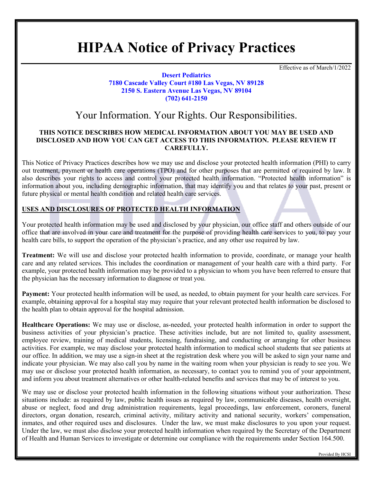# **HIPAA Notice of Privacy Practices**

Effective as of March/1/2022

#### **Desert Pediatrics 7180 Cascade Valley Court #180 Las Vegas, NV 89128 2150 S. Eastern Avenue Las Vegas, NV 89104 (702) 641-2150**

# Your Information. Your Rights. Our Responsibilities.

#### **THIS NOTICE DESCRIBES HOW MEDICAL INFORMATION ABOUT YOU MAY BE USED AND DISCLOSED AND HOW YOU CAN GET ACCESS TO THIS INFORMATION. PLEASE REVIEW IT CAREFULLY.**

This Notice of Privacy Practices describes how we may use and disclose your protected health information (PHI) to carry out treatment, payment or health care operations (TPO) and for other purposes that are permitted or required by law. It also describes your rights to access and control your protected health information. "Protected health information" is information about you, including demographic information, that may identify you and that relates to your past, present or future physical or mental health condition and related health care services.

## **USES AND DISCLOSURES OF PROTECTED HEALTH INFORMATION**

Your protected health information may be used and disclosed by your physician, our office staff and others outside of our office that are involved in your care and treatment for the purpose of providing health care services to you, to pay your health care bills, to support the operation of the physician's practice, and any other use required by law.

**Treatment:** We will use and disclose your protected health information to provide, coordinate, or manage your health care and any related services. This includes the coordination or management of your health care with a third party. For example, your protected health information may be provided to a physician to whom you have been referred to ensure that the physician has the necessary information to diagnose or treat you.

**Payment:** Your protected health information will be used, as needed, to obtain payment for your health care services. For example, obtaining approval for a hospital stay may require that your relevant protected health information be disclosed to the health plan to obtain approval for the hospital admission.

**Healthcare Operations:** We may use or disclose, as-needed, your protected health information in order to support the business activities of your physician's practice. These activities include, but are not limited to, quality assessment, employee review, training of medical students, licensing, fundraising, and conducting or arranging for other business activities. For example, we may disclose your protected health information to medical school students that see patients at our office. In addition, we may use a sign-in sheet at the registration desk where you will be asked to sign your name and indicate your physician. We may also call you by name in the waiting room when your physician is ready to see you. We may use or disclose your protected health information, as necessary, to contact you to remind you of your appointment, and inform you about treatment alternatives or other health-related benefits and services that may be of interest to you.

We may use or disclose your protected health information in the following situations without your authorization. These situations include: as required by law, public health issues as required by law, communicable diseases, health oversight, abuse or neglect, food and drug administration requirements, legal proceedings, law enforcement, coroners, funeral directors, organ donation, research, criminal activity, military activity and national security, workers' compensation, inmates, and other required uses and disclosures. Under the law, we must make disclosures to you upon your request. Under the law, we must also disclose your protected health information when required by the Secretary of the Department of Health and Human Services to investigate or determine our compliance with the requirements under Section 164.500.